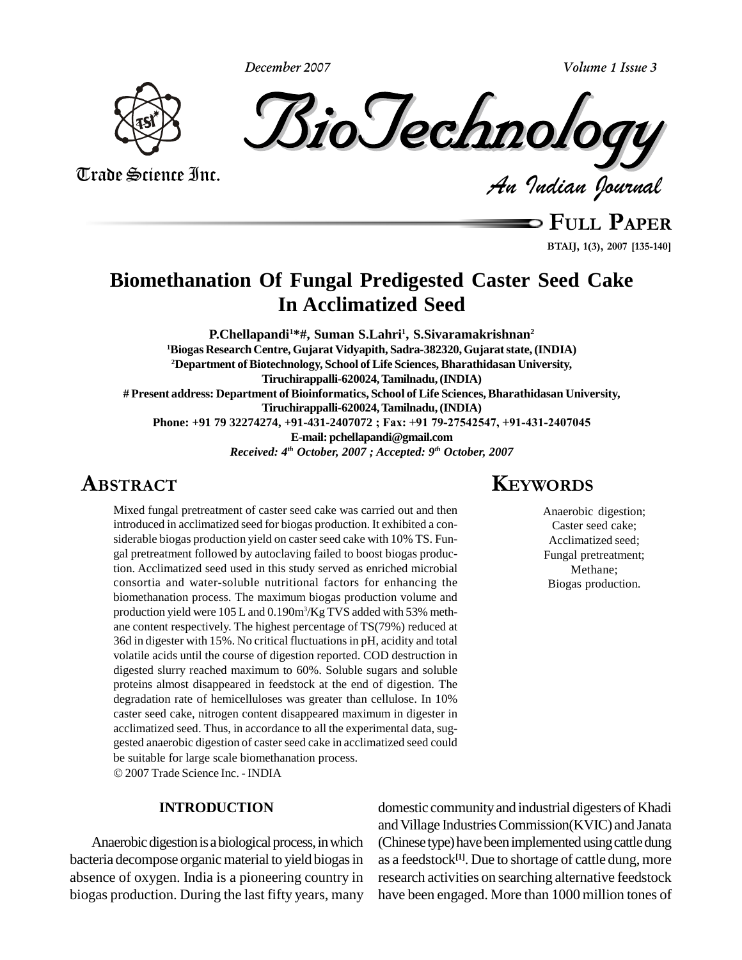**December 2007**



*Indian Journal*

Trade Science Inc.

**FULL <sup>P</sup>APER**

**B** FULL PAPER **1(3), <sup>2007</sup> [135-140]**

**Volume 1 Issue 3**

# **Biomethanation Of Fungal Predigested Caster Seed Cake In Acclimatized Seed**

**EXPLOSE 2007 P.Chellapandi1\*#, Suman S.Lahri<sup>1</sup> , S.Sivaramakrishnan 2 <sup>1</sup>Biogas ResearchCentre, Gujarat Vidyapith, Sadra-382320,Gujaratstate,(INDIA) <sup>2</sup>Department ofBiotechnology, School ofLife Sciences, Bharathidasan University, Tiruchirappalli-620024,Tamilnadu,(INDIA)** # Present address: Department of Bioinformatics, School of Life Sciences, Bharathidasan University,<br>Tiruchirappalli-620024, Tamilnadu, (INDIA)<br>Phone: +91 79 32274274, +91-431-2407072 ; Fax: +91 79-27542547, +91-431-2407045 **Tiruchirappalli-620024,Tamilnadu,(INDIA) E-mail: [pchellapandi@gmail.com](mailto:pchellapandi@gmail.com)** *Received: 4 th October, 2007 ; Accepted: 9 th October, 2007*

# **ABSTRACT**

Mixed fungal pretreatment of caster seed cake was carried out and then introduced in acclimatized seed for biogas production. It exhibited a con siderable biogas production yield on caster seed cake with 10% TS. Fun-gal pretreatment followed by autoclaving failed to boost biogas production. Acclimatized seed used in this study served as enriched microbial consortia and water-soluble nutritional factors for enhancing the biomethanation process. The maximum biogas production volume and production yield were 105 L and 0.190m<sup>3</sup>/Kg TVS added with 53% methane content respectively. The highest percentage of TS(79%) reduced at 36d in digester with 15%. No critical fluctuationsin pH, acidity and total volatile acids until the course of digestion reported. COD destruction in digested slurry reached maximum to 60%. Soluble sugars and soluble proteins almost disappeared in feedstock at the end of digestion. The degradation rate of hemicelluloses was greater than cellulose. In 10% caster seed cake, nitrogen content disappeared maximum in digester in acclimatized seed. Thus, in accordance to all the experimental data, sug gested anaerobic digestion of caster seed cake in acclimatized seed could be suitable for large scale biomethanation process.

2007 Trade Science Inc. - INDIA

#### **INTRODUCTION**

Anaerobic digestion is a biological process, in which bacteria decompose organic material to yield biogas in absence of oxygen. India is a pioneering country in biogas production. During the last fifty years, many

# **KEYWORDS**

Anaerobic digestion; Caster seed cake; Acclimatized seed; Fungal pretreatment; Methane; Biogas production.

domestic communityand industrial digesters of Khadi and Village Industries Commission(KVIC) and Janata (Chinese type) have been implemented using cattle dung as a feedstock **[1]**. Due to shortage of cattle dung, more research activities on searching alternative feedstock have been engaged. More than 1000 million tones of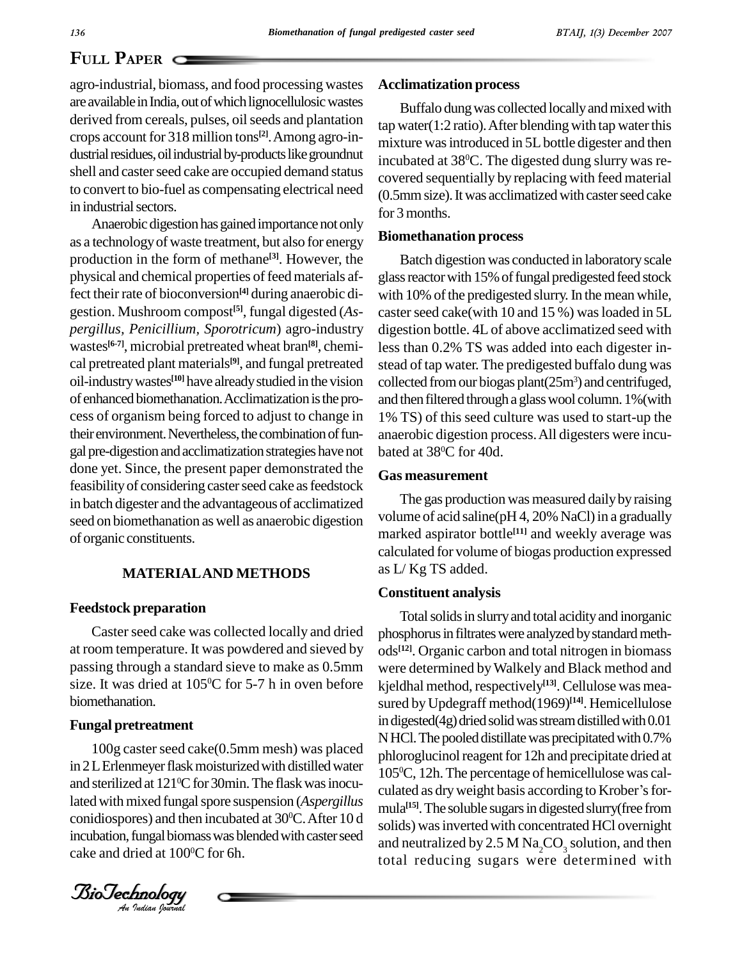## **PAPER**  $\subset$

agro-industrial, biomass, and food processing wastes are available in India, out of which lignocellulosic wastes derived from cereals, pulses, oil seeds and plantation crops account for 318 million tons<sup>[2]</sup>. Among agro-industrial residues, oil industrial by-products like groundnut shell and caster seed cake are occupied demand status to convert to bio-fuel as compensating electrical need in industrial sectors.

Anaerobic digestion has gained importance not only as a technologyof waste treatment, but also forenergy production in the form of methane<sup>[3]</sup>. However, the Ba physical and chemical properties of feed materials affect their rate of bioconversion<sup>[4]</sup> during anaerobic di- with gestion. Mushroom compost **[5]**, fungal digested (*As pergillus, Penicillium, Sporotricum*) agro-industry wastes<sup>[6-7]</sup>, microbial pretreated wheat bran<sup>[8]</sup>, chemi-<br>less cal pretreated plant materials **[9]**, and fungal pretreated oil-industrywastes **[10]** have alreadystudied in the vision of enhanced biomethanation. Acclimatization is the process of organism being forced to adjust to change in their environment. Nevertheless, the combination of fungal pre-digestion andacclimatizationstrategieshave not done yet. Since, the present paper demonstrated the feasibility of considering caster seed cake as feedstock in batch digester and the advantageous of acclimatized seed on biomethanation as well as anaerobic digestion of organic constituents.

#### **MATERIALAND METHODS**

#### **Feedstock preparation**

Caster seed cake was collected locally and dried at room temperature. It was powdered and sieved by passing through a standard sieve to make as 0.5mm size. It was dried at  $105^{\circ}$ C for 5-7 h in oven before kield biomethanation.

#### **Fungal pretreatment**

100g caster seed cake(0.5mm mesh) was placed<br>in 2LErlenmeyer flask moisturized with distilled water lated with mixed fungal spore suspension (*Aspergillus* mula 100g caster seed cake(0.5mm mesh) was placed and sterilized at 121°C for 30min. The flask was inocuconidiospores) and then incubated at  $30^{\circ}$ C. After 10 d colider incubation, fungal biomass was blended with caster seed cake and dried at 100 <sup>0</sup>C for 6h.

*Indian Journal*

#### **Acclimatization process**

Buffalo dung was collected locally and mixed with tap water( $1:2$  ratio). After blending with tap water this mixture was introduced in 5L bottle digester and then incubated at 38 <sup>0</sup>C. The digested dung slurry was re covered sequentially by replacing with feed material (0.5mmsize).Itwas acclimatizedwith casterseed cake for 3 months.

#### **Biomethanation process**

Batch digestion was conducted in laboratory scale glass reactor with 15% of fungal predigested feed stock with 10% of the predigested slurry. In the mean while, caster seed cake(with 10 and 15 %) was loaded in  $5L$ digestion bottle. 4L of above acclimatized seed with less than 0.2% TS was added into each digester in stead of tap water. The predigested buffalo dung was collected from our biogas plant $(25m<sup>3</sup>)$  and centrifuged, and then filtered through a glass wool column. 1% (with 1% TS) of this seed culture was used to start-up the anaerobic digestion process.All digesters were incu bated at 38 <sup>0</sup>C for 40d.

#### **Gas measurement**

The gas production was measured daily by raising volume of acid saline( $pH$  4, 20% NaCl) in a gradually marked aspirator bottle **[11]** and weekly average was calculated for volume of biogas production expressed as L/ Kg TS added.

#### **Constituent analysis**

Total solids in slurry and total acidity and inorganic phosphorus in filtrates were analyzed by standard methods **[12]**. Organic carbon and total nitrogen in biomass were determined byWalkely and Black method and kjeldhal method, respectively **[13]**. Cellulose was mea sured byUpdegraff method(1969) **[14]**. Hemicellulose in digested $(4g)$  dried solid was stream distilled with  $0.01$  $N$  HCl. The pooled distillate was precipitated with 0.7% phloroglucinol reagent for 12h and precipitate dried at 105 <sup>0</sup>C, 12h.The percentage of hemicellulose was cal phloroglucinol reagent for 12h and precipitate dried at<br>105ºC, 12h. The percentage of hemicellulose was cal-<br>culated as dry weight basis according to Krober's formula<sup>[15]</sup>. The soluble sugars in digested slurry(free from solids) was inverted with concentrated HCl overnight and neutralized by 2.5 M  $\text{Na}_2\text{CO}_3$  solution, and then total reducing sugars were determined with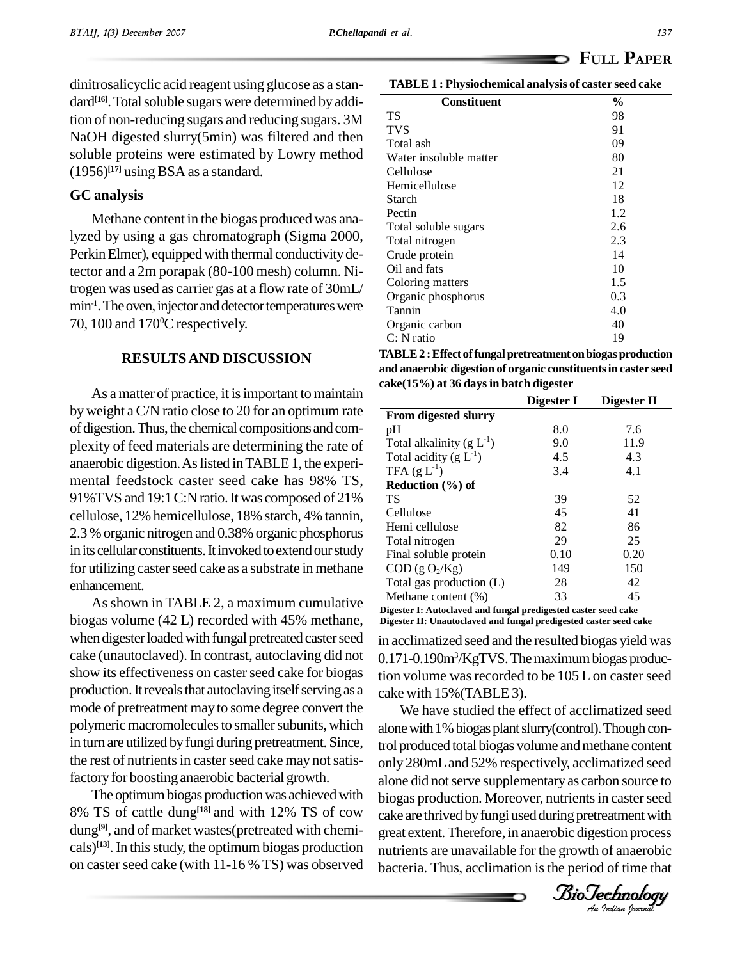dinitrosalicyclic acid reagent using glucose as a stan dard<sup>[16]</sup>. Total soluble sugars were determined by addition of non-reducing sugars and reducing sugars. 3M NaOH digested slurry(5min) was filtered and then soluble proteins were estimated by Lowry method  $(1956)^{[17]}$  using BSA as a standard.

#### **GC analysis**

Methane content in the biogas produced was analyzed by using a gas chromatograph (Sigma 2000, Perkin Elmer), equipped with thermal conductivity detector and a 2m porapak (80-100 mesh) column. Nitrogen was used as carrier gas ata flow rate of 30mL/  $min^{-1}$ . The oven, injector and detector temperatures were  $\frac{1}{T}$ 70, 100 and 170 <sup>0</sup>C respectively.

#### **RESULTSAND DISCUSSION**

As a matter of practice, it is important to maintain byweight aC/N ratio close to 20 for an optimum rate of digestion. Thus, the chemical compositions and complexity of feed materials are determining the rate of anaerobic digestion.Aslisted inTABLE1, the experi mental feedstock caster seed cake has 98% TS, 91%TVS and 19:1C:N ratio.It was composed of 21% cellulose, 12% hemicellulose, 18% starch, 4% tannin, 2.3 % organic nitrogen and 0.38% organic phosphorus in its cellular constituents. It invoked to extend our study for utilizing caster seed cake as a substrate in methane enhancement.

As shown in TABLE 2, a maximum cumulative biogas volume (42 L) recorded with 45% methane, when digester loaded with fungal pretreated caster seed cake (unautoclaved). In contrast, autoclaving did not show its effectiveness on caster seed cake for biogas production. It reveals that autoclaving itself serving as a mode of pretreatment mayto some degree convert the polymeric macromolecules to smaller subunits, which in turn are utilized by fungi during pretreatment. Since, the rest of nutrients in caster seed cake may not satisfactory for boosting anaerobic bacterial growth.

The optimum biogas production was achieved with 8% TS of cattle dung<sup>[18]</sup> and with 12% TS of cow cake are thr dung<sup>[9]</sup>, and of market wastes(pretreated with chemi- grea cals)<sup>[13]</sup>. In this study, the optimum biogas production  $\mu$ utrien on caster seed cake (with  $11-16\%$  TS) was observed

**TABLE 1 : Physiochemical analysis of caster seed cake**

| Constituent            | $\frac{0}{0}$ |
|------------------------|---------------|
| TS                     | 98            |
| <b>TVS</b>             | 91            |
| Total ash              | 09            |
| Water insoluble matter | 80            |
| Cellulose              | 21            |
| Hemicellulose          | 12            |
| <b>Starch</b>          | 18            |
| Pectin                 | 1.2           |
| Total soluble sugars   | 2.6           |
| Total nitrogen         | 2.3           |
| Crude protein          | 14            |
| Oil and fats           | 10            |
| Coloring matters       | 1.5           |
| Organic phosphorus     | 0.3           |
| Tannin                 | 4.0           |
| Organic carbon         | 40            |
| C: N ratio             | 19            |

**TABLE2 :Effect offungalpretreatmentonbiogasproduction and anaerobic digestion of organic constituentsin caster seed cake(15%) at 36 daysin batch digester**

|                                     | Digester I | Digester II |
|-------------------------------------|------------|-------------|
| <b>From digested slurry</b>         |            |             |
| pH                                  | 8.0        | 7.6         |
| Total alkalinity $(g L^{-1})$       | 9.0        | 11.9        |
| Total acidity (g $L^{-1}$ )         | 4.5        | 4.3         |
| TFA $(g L^{-1})$                    | 3.4        | 4.1         |
| Reduction $(\% )$ of                |            |             |
| ТS                                  | 39         | 52          |
| Cellulose                           | 45         | 41          |
| Hemi cellulose                      | 82         | 86          |
| Total nitrogen                      | 29         | 25          |
| Final soluble protein               | 0.10       | 0.20        |
| $\text{COD}$ (g O <sub>2</sub> /Kg) | 149        | 150         |
| Total gas production (L)            | 28         | 42          |
| Methane content (%)                 | 33         | 45          |

**Digester I: Autoclaved and fungal predigested caster seed cake Digester II: Unautoclaved and fungal predigested caster seed cake**

in acclimatized seed and the resulted biogas yield was 0.171-0.190m<sup>3</sup>/KgTVS. The maximum biogas production volume was recorded to be  $105$  L on caster seed cake with 15%(TABLE 3).

abiotechnology biotechnology and the main experience of the original scheme only 280mL and 52% respectively, acclimatized seed *An*cake are thrived byfungi usedduringpretreatmentwith We have studied the effect of acclimatized seed alone with 1% biogas plant slurry(control). Though control produced total biogas volume and methane content alone did not serve supplementary as carbon source to biogas production. Moreover, nutrients in caster seed great extent.Therefore, in anaerobic digestion process nutrients are unavailable for the growth of anaerobic bacteria. Thus, acclimation is the period of time that

*Indian Journal*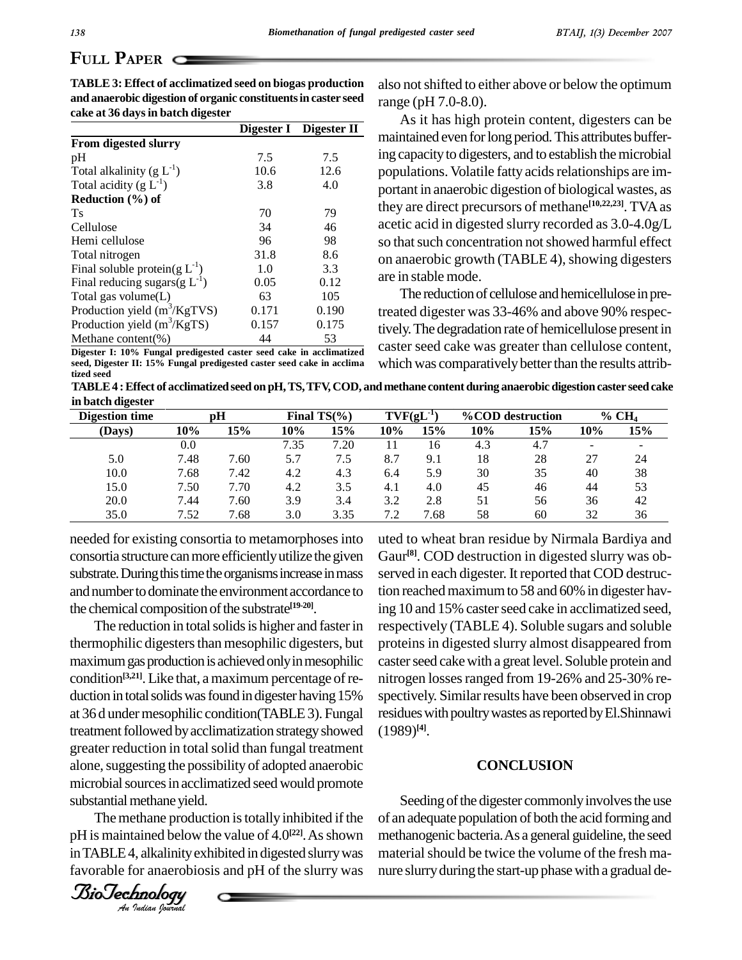## **PLILL PAPER C**

|       | Digester II |
|-------|-------------|
|       |             |
| 7.5   | 7.5         |
| 10.6  | 12.6        |
| 3.8   | 4.0         |
|       |             |
| 70    | 79          |
| 34    | 46          |
| 96    | 98          |
| 31.8  | 8.6         |
| 1.0   | 3.3         |
| 0.05  | 0.12        |
| 63    | 105         |
| 0.171 | 0.190       |
| 0.157 | 0.175       |
| 44    | 53          |
|       | Digester I  |

**TABLE 3: Effect of acclimatized seed on biogas production and anaerobic digestion of organic constituentsin caster seed cake at 36 daysin batch digester**

**Digester I: 10% Fungal predigested caster seed cake in acclimatized seed, Digester II: 15% Fungal predigested caster seed cake in acclima tized seed**

also notshifted to either above or below the optimum range (pH 7.0-8.0).

As ithas high protein content, digesters can be maintained even for long period. This attributes buffering capacity to digesters, and to establish the microbial populations. Volatile fatty acids relationships are important in anaerobic digestion of biological wastes, as they are direct precursors of methane **[10,22,23]**. TVAas acetic acid in digested slurry recorded as 3.0-4.0g/L so that such concentration not showed harmful effect on anaerobic growth (TABLE 4), showing digesters are in stable mode.

The reduction of cellulose and hemicellulose in pretreated digester was 33-46% and above 90% respectively.The degradation rate of hemicellulose present in caster seed cake was greater than cellulose content, which was comparatively better than the results attrib-

**TABLE4 :Effect of acclimatizedseed on pH,TS,TFV, COD, and methane content during anaerobic digestioncaster seedcake in batch digester**

| рH<br><b>Digestion time</b> |      |      | Final $TS(\%)$ |      | $TVF(gL^{-1})$ |      | %COD destruction |     | $%$ CH <sub>4</sub> |                          |
|-----------------------------|------|------|----------------|------|----------------|------|------------------|-----|---------------------|--------------------------|
| (Days)                      | 10%  | 15%  | 10%            | 15%  | 10%            | 15%  | 10%              | 15% | 10%                 | 15%                      |
|                             | 0.0  |      | 7.35           | 7.20 | 11             | 16   | 4.3              | 4.7 |                     | $\overline{\phantom{0}}$ |
| 5.0                         | 7.48 | 7.60 | 5.7            | 7.5  | 8.7            | 9.1  | 18               | 28  | 27                  | 24                       |
| 10.0                        | 7.68 | 7.42 | 4.2            | 4.3  | 6.4            | 5.9  | 30               | 35  | 40                  | 38                       |
| 15.0                        | 7.50 | 7.70 | 4.2            | 3.5  | 4.1            | 4.0  | 45               | 46  | 44                  | 53                       |
| 20.0                        | 7.44 | 7.60 | 3.9            | 3.4  | 3.2            | 2.8  | 51               | 56  | 36                  | 42                       |
| 35.0                        | .52  | 7.68 | 3.0            | 3.35 | 7.2            | 7.68 | 58               | 60  | 32                  | 36                       |

needed for existing consortia to metamorphoses into consortia structure canmore efficientlyutilize the given substrate. During this time the organisms increase in mass and number to dominate the environment accordance to the chemical composition of the substrate<sup>[19-20]</sup>.

greater reduction in total solid than fungal treatment<br>alone, suggesting the possibility of adopted anaerobic substantial methane yield. The reduction in total solids is higher and faster in thermophilic digesters than mesophilic digesters, but maximum gas production is achieved only in mesophilic condition<sup>[3,21]</sup>. Like that, a maximum percentage of re- nitr duction in total solids was found in digester having 15% at 36 d under mesophilic condition(TABLE 3). Fungal treatment followed by acclimatization strategy showed greater reduction in total solid than fungal treatment microbial sources in acclimatized seed would promote

The methane production is totally inhibited if the pH is maintained below the value of 4.0<sup>[22]</sup>. As shown methan in TABLE 4, alkalinity exhibited in digested slurry was favorable for anaerobiosis and pH of the slurry was



uted to wheat bran residue by Nirmala Bardiya and Gaur **[8]**. COD destruction in digested slurry was ob served in each digester. It reported that COD destruction reached maximum to 58 and 60% in digester having 10 and 15% caster seed cake in acclimatized seed, respectively (TABLE 4). Soluble sugars and soluble proteins in digested slurry almost disappeared from caster seed cake with a great level. Soluble protein and nitrogen losses ranged from 19-26% and 25-30% respectively. Similar results have been observed in crop residues with poultry wastes as reported by El.Shinnawi (1989) **[4]**.

#### **CONCLUSION**

Seeding of the digester commonly involves the use of an adequate population of both the acid forming and methanogenic bacteria. As a general guideline, the seed material should be twice the volume of the fresh manure slurry during the start-up phase with a gradual de-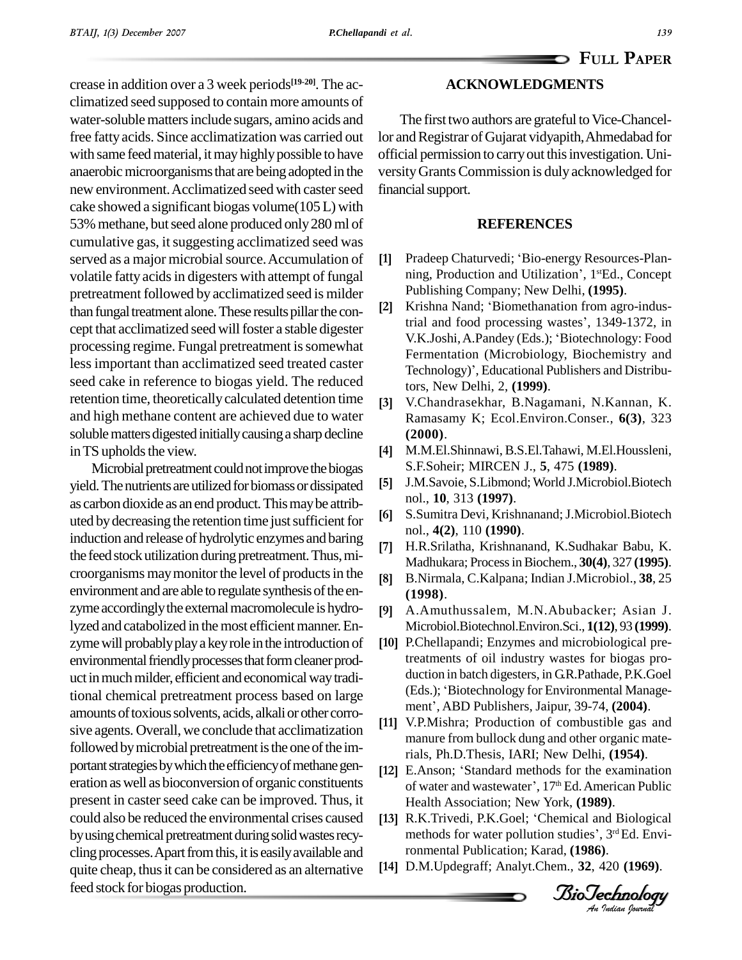## **P**APER **ACKNOWLEDGMENTS**

crease in addition over a 3 week periods **[19-20]**. The ac climatized seed supposed to contain more amounts of water-soluble matters include sugars, amino acids and free fattyacids. Since acclimatization was carried out with same feed material, it may highly possible to have anaerobic microorganisms that are being adopted in the new environment. Acclimatized seed with caster seed cake showed a significant biogas volume(105L) with 53% methane, but seed alone produced only 280 ml of cumulative gas, itsuggesting acclimatized seed was served as a major microbial source. Accumulation of [1] volatile fatty acids in digesters with attempt of fungal pretreatment followed by acclimatized seed is milder<br>than fungal treatment alone. These results pillar the conthan fungal treatment alone. These results pillar the concept that acclimatized seed willfoster a stable digester processing regime. Fungal pretreatment is somewhat less important than acclimatized seed treated caster seed cake in reference to biogas yield. The reduced retention time, theoretically calculated detention time [3] and high methane content are achieved due to water soluble matters digested initially causing a sharp decline in TS upholds the view.

Microbial pretreatment could not improve the biogas yield. The nutrients are utilized for biomass or dissipated [5] as carbon dioxide as an end product. This may be attrib-<br>uted by decreasing the retention time just sufficient for  $[6]$ uted by decreasing the retention time just sufficient for induction andrelease of hydrolytic enzymes and baring the feed stock utilization during pretreatment. Thus, microorganisms maymonitorthe level of productsin the environment and are able to regulate synthesis of the enzyme accordingly the external macromolecule is hydrolyzed and catabolized in the most efficient manner. Enzyme will probably play a key role in the introduction of environmental friendly processes that form cleaner product in much milder, efficient and economical way traditional chemical pretreatment process based on large (Eds.); 'Biotechnology for Environmental Management', ABD Publishers, Jaipur, 39-74, (2004). amounts of toxious solvents, acids, alkali or other corrosive agents. Overall, we conclude that acclimatization followed by microbial pretreatment is the one of the important strategies by which the efficiency of methane gen-<br>[12] E.Anson; 'Standard methods for the examination eration aswell as bioconversion of organic constituents present in caster seed cake can be improved. Thus, it could also be reduced the environmental crises caused by using chemical pretreatment during solid wastes recycling processes. Apart from this, it is easily available and quite cheap, thusit can be considered as an alternative feed stock for biogas production.

### The first two authors are grateful to Vice-Chancellor and Registrar of Gujarat vidyapith, Ahmedabad for official permission to carryout thisinvestigation. Uni versityGrantsCommission isduly acknowledged for financial support.

#### **REFERENCES**

- **REFERENCES**<br>Pradeep Chaturvedi; 'Bio-energy Resources-Plan-Pradeep Chaturvedi; 'Bio-energy Resources-l<br>ning, Production and Utilization', 1stEd., Cor ning, Production and Utilization', 1<sup>st</sup>Ed., Concept<br>Publishing Company; New Delhi, (**1995**).<br>Krishna Nand; 'Biomethanation from agro-indus-Publishing Company; New Delhi, **(1995)**. **[2]**
- Krishna Nand; 'Biomethanation from agro-industrial and food processing wastes', 1349-1372, in V.K.Joshi,A.Pandey (Eds.); <sup>ë</sup>Biotechnology: Food Fermentation (Microbiology, Biochemistry and Technology)', Educational Publishers and Distributors, New Delhi, 2, **(1999)**. **[3]**
- V.Chandrasekhar, B.Nagamani, N.Kannan, K. Ramasamy K; Ecol.Environ.Conser., **6(3)**, 323  $(2000)$ .
- M.M.El.Shinnawi,B.S.El.Tahawi, M.El.Houssleni, S.F.Soheir; MIRCEN J., **5**, 475 **(1989)**. **[5]**
- J.M.Savoie, S.Libmond;World J.Microbiol.Biotech nol., **10**, 313 **(1997)**. **[6]**
- S.Sumitra Devi, Krishnanand; J.Microbiol.Biotech nol., **4(2)**, 110 **(1990)**. **[7]**
- H.R.Srilatha, Krishnanand, K.Sudhakar Babu, K. Madhukara; ProcessinBiochem., **30(4)**, 327 **(1995)**. **[8]**
- B.Nirmala, C.Kalpana; Indian J.Microbiol., **38**, 25 **(1998)**. **[9]**
- A.Amuthussalem, M.N.Abubacker; Asian J. 19] A.Amuthussalem, M.N.Abubacker; Asian J.<br>Microbiol.Biotechnol.Environ.Sci., 1(12), 93 (1999).
- [10] P.Chellapandi; Enzymes and microbiological pretreatments of oil industry wastes for biogas pro duction in batch digesters, in G.R.Pathade, P.K.Goel treatments of oil industry wastes for biogas pro-<br>duction in batch digesters, in G.R.Pathade, P.K.Goel<br>(Eds.); 'Biotechnology for Environmental Manageduction in batch digesters, in G.R.Pathade, P.K.Goel (Eds.); 'Biotechnology for Environmental Management', ABD Publishers, Jaipur, 39-74, (2004).
- Fials, Ph.D.Thesis, IARI; New Delhi,  $(1954)$ . [11] V.P.Mishra; Production of combustible gas and manure from bullock dung and other organic mate-<br>rials, Ph.D.Thesis, IARI; New Delhi, (**1954**).<br>E.Anson; 'Standard methods for the examination
- Health Association; New York, (1989). rials, Ph.D.Thesis, IARI; New Delhi, (1954).<br>E.Anson; 'Standard methods for the examination<br>of water and wastewater', 17<sup>th</sup> Ed. American Public<br>Health Association; New York, (1989).<br>R.K.Trivedi, P.K.Goel; 'Chemical and Bi
- [13] R.K.Trivedi, P.K.Goel; 'Chemical and Biological methods for water pollution studies', 3<sup>rd</sup> Ed. Environmental Publication; Karad, (1986).
- D.M.Updegraff; Analyt.Chem., **32**, 420 **(1969)**.

*Indian Journal*